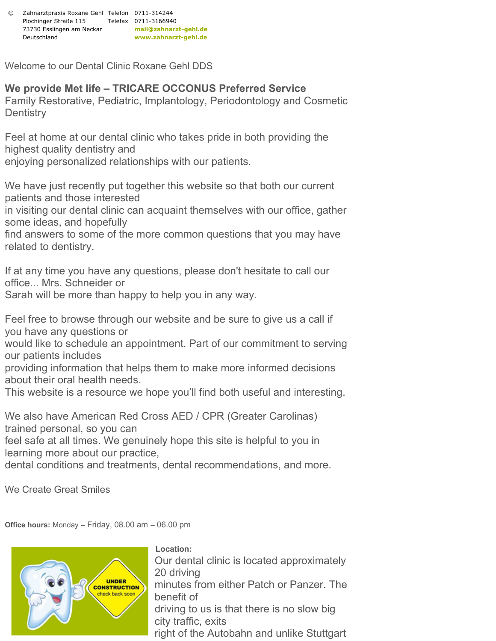© Zahnarztpraxis Roxane Gehl Telefon 0711-314244 Plochinger Straße 115 Telefax 0711-3166940 73730 Esslingen am Neckar **[mail@zahnarzt-gehl.de](mailto:mail@zahnarzt-gehl.de)** Deutschland **[www.zahnarzt-gehl.de](http://www.zahnarzt-gehl.de)**

Welcome to our Dental Clinic Roxane Gehl DDS

## **We provide Met life – TRICARE OCCONUS Preferred Service**

Family Restorative, Pediatric, Implantology, Periodontology and Cosmetic **Dentistry** 

Feel at home at our dental clinic who takes pride in both providing the highest quality dentistry and

enjoying personalized relationships with our patients.

We have just recently put together this website so that both our current patients and those interested

in visiting our dental clinic can acquaint themselves with our office, gather some ideas, and hopefully

find answers to some of the more common questions that you may have related to dentistry.

If at any time you have any questions, please don't hesitate to call our office... Mrs. Schneider or

Sarah will be more than happy to help you in any way.

Feel free to browse through our website and be sure to give us a call if you have any questions or

would like to schedule an appointment. Part of our commitment to serving our patients includes

providing information that helps them to make more informed decisions about their oral health needs.

This website is a resource we hope you'll find both useful and interesting.

We also have American Red Cross AED / CPR (Greater Carolinas) trained personal, so you can

feel safe at all times. We genuinely hope this site is helpful to you in learning more about our practice,

dental conditions and treatments, dental recommendations, and more.

We Create Great Smiles

**Office hours:** Monday – Friday, 08.00 am – 06.00 pm



**Location:**  Our dental clinic is located approximately 20 driving minutes from either Patch or Panzer. The benefit of driving to us is that there is no slow big city traffic, exits right of the Autobahn and unlike Stuttgart